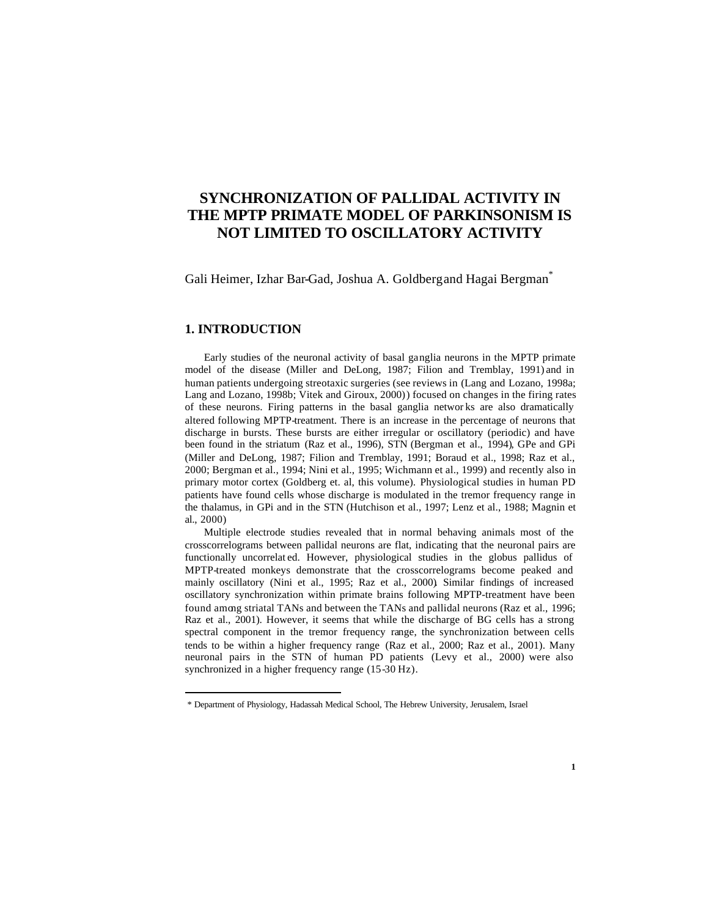# **SYNCHRONIZATION OF PALLIDAL ACTIVITY IN THE MPTP PRIMATE MODEL OF PARKINSONISM IS NOT LIMITED TO OSCILLATORY ACTIVITY**

Gali Heimer, Izhar Bar-Gad, Joshua A. Goldbergand Hagai Bergman\*

### **1. INTRODUCTION**

 $\overline{\phantom{a}}$ 

Early studies of the neuronal activity of basal ganglia neurons in the MPTP primate model of the disease (Miller and DeLong, 1987; Filion and Tremblay, 1991) and in human patients undergoing streotaxic surgeries (see reviews in (Lang and Lozano, 1998a; Lang and Lozano, 1998b; Vitek and Giroux, 2000)) focused on changes in the firing rates of these neurons. Firing patterns in the basal ganglia networ ks are also dramatically altered following MPTP-treatment. There is an increase in the percentage of neurons that discharge in bursts. These bursts are either irregular or oscillatory (periodic) and have been found in the striatum (Raz et al., 1996), STN (Bergman et al., 1994), GPe and GPi (Miller and DeLong, 1987; Filion and Tremblay, 1991; Boraud et al., 1998; Raz et al., 2000; Bergman et al., 1994; Nini et al., 1995; Wichmann et al., 1999) and recently also in primary motor cortex (Goldberg et. al, this volume). Physiological studies in human PD patients have found cells whose discharge is modulated in the tremor frequency range in the thalamus, in GPi and in the STN (Hutchison et al., 1997; Lenz et al., 1988; Magnin et al., 2000)

Multiple electrode studies revealed that in normal behaving animals most of the crosscorrelograms between pallidal neurons are flat, indicating that the neuronal pairs are functionally uncorrelat ed. However, physiological studies in the globus pallidus of MPTP-treated monkeys demonstrate that the crosscorrelograms become peaked and mainly oscillatory (Nini et al., 1995; Raz et al., 2000). Similar findings of increased oscillatory synchronization within primate brains following MPTP-treatment have been found among striatal TANs and between the TANs and pallidal neurons (Raz et al., 1996; Raz et al., 2001). However, it seems that while the discharge of BG cells has a strong spectral component in the tremor frequency range, the synchronization between cells tends to be within a higher frequency range (Raz et al., 2000; Raz et al., 2001). Many neuronal pairs in the STN of human PD patients (Levy et al., 2000) were also synchronized in a higher frequency range (15-30 Hz).

 <sup>\*</sup> Department of Physiology, Hadassah Medical School, The Hebrew University, Jerusalem, Israel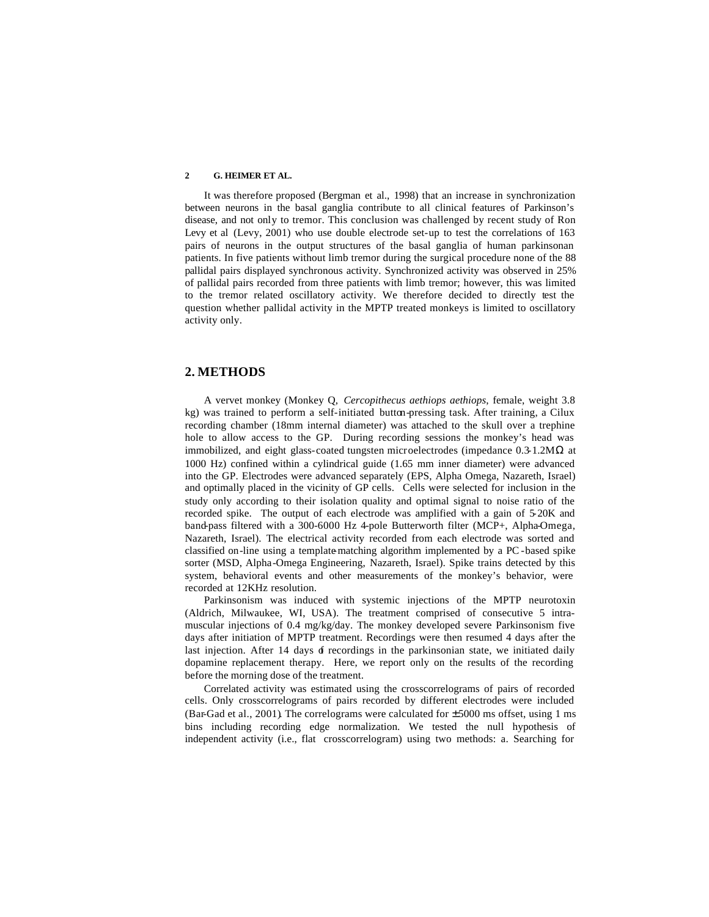### **2 G. HEIMER ET AL.**

It was therefore proposed (Bergman et al., 1998) that an increase in synchronization between neurons in the basal ganglia contribute to all clinical features of Parkinson's disease, and not only to tremor. This conclusion was challenged by recent study of Ron Levy et al (Levy, 2001) who use double electrode set-up to test the correlations of 163 pairs of neurons in the output structures of the basal ganglia of human parkinsonan patients. In five patients without limb tremor during the surgical procedure none of the 88 pallidal pairs displayed synchronous activity. Synchronized activity was observed in 25% of pallidal pairs recorded from three patients with limb tremor; however, this was limited to the tremor related oscillatory activity. We therefore decided to directly test the question whether pallidal activity in the MPTP treated monkeys is limited to oscillatory activity only.

## **2. METHODS**

A vervet monkey (Monkey Q, *Cercopithecus aethiops aethiops*, female, weight 3.8 kg) was trained to perform a self-initiated button-pressing task. After training, a Cilux recording chamber (18mm internal diameter) was attached to the skull over a trephine hole to allow access to the GP. During recording sessions the monkey's head was immobilized, and eight glass-coated tungsten microelectrodes (impedance 0.3-1.2MΩ at 1000 Hz) confined within a cylindrical guide (1.65 mm inner diameter) were advanced into the GP. Electrodes were advanced separately (EPS, Alpha Omega, Nazareth, Israel) and optimally placed in the vicinity of GP cells. Cells were selected for inclusion in the study only according to their isolation quality and optimal signal to noise ratio of the recorded spike. The output of each electrode was amplified with a gain of 5-20K and band-pass filtered with a 300-6000 Hz 4-pole Butterworth filter (MCP+, Alpha-Omega, Nazareth, Israel). The electrical activity recorded from each electrode was sorted and classified on-line using a template-matching algorithm implemented by a PC-based spike sorter (MSD, Alpha-Omega Engineering, Nazareth, Israel). Spike trains detected by this system, behavioral events and other measurements of the monkey's behavior, were recorded at 12KHz resolution.

Parkinsonism was induced with systemic injections of the MPTP neurotoxin (Aldrich, Milwaukee, WI, USA). The treatment comprised of consecutive 5 intramuscular injections of 0.4 mg/kg/day. The monkey developed severe Parkinsonism five days after initiation of MPTP treatment. Recordings were then resumed 4 days after the last injection. After 14 days of recordings in the parkinsonian state, we initiated daily dopamine replacement therapy. Here, we report only on the results of the recording before the morning dose of the treatment.

Correlated activity was estimated using the crosscorrelograms of pairs of recorded cells. Only crosscorrelograms of pairs recorded by different electrodes were included (Bar-Gad et al., 2001). The correlograms were calculated for  $\pm 5000$  ms offset, using 1 ms bins including recording edge normalization. We tested the null hypothesis of independent activity (i.e., flat crosscorrelogram) using two methods: a. Searching for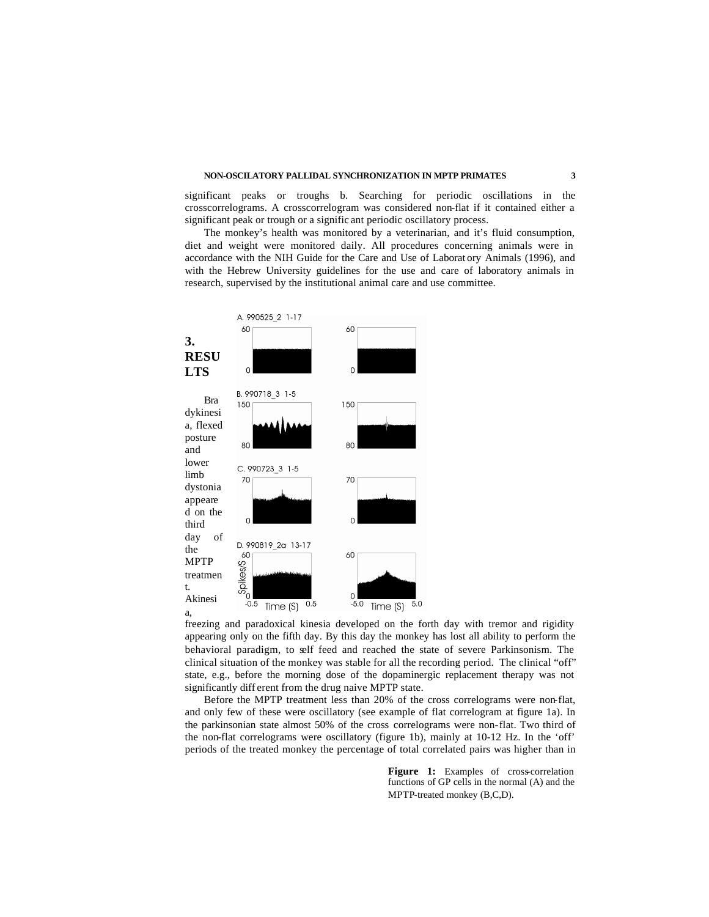### **NON-OSCILATORY PALLIDAL SYNCHRONIZATION IN MPTP PRIMATES 3**

significant peaks or troughs b. Searching for periodic oscillations in the crosscorrelograms. A crosscorrelogram was considered non-flat if it contained either a significant peak or trough or a signific ant periodic oscillatory process.

The monkey's health was monitored by a veterinarian, and it's fluid consumption, diet and weight were monitored daily. All procedures concerning animals were in accordance with the NIH Guide for the Care and Use of Laborat ory Animals (1996), and with the Hebrew University guidelines for the use and care of laboratory animals in research, supervised by the institutional animal care and use committee.



freezing and paradoxical kinesia developed on the forth day with tremor and rigidity appearing only on the fifth day. By this day the monkey has lost all ability to perform the behavioral paradigm, to self feed and reached the state of severe Parkinsonism. The clinical situation of the monkey was stable for all the recording period. The clinical "off" state, e.g., before the morning dose of the dopaminergic replacement therapy was not significantly diff erent from the drug naive MPTP state.

Before the MPTP treatment less than 20% of the cross correlograms were non-flat, and only few of these were oscillatory (see example of flat correlogram at figure 1a). In the parkinsonian state almost 50% of the cross correlograms were non-flat. Two third of the non-flat correlograms were oscillatory (figure 1b), mainly at 10-12 Hz. In the 'off' periods of the treated monkey the percentage of total correlated pairs was higher than in

> Figure 1: Examples of cross-correlation functions of GP cells in the normal (A) and the MPTP-treated monkey (B,C,D).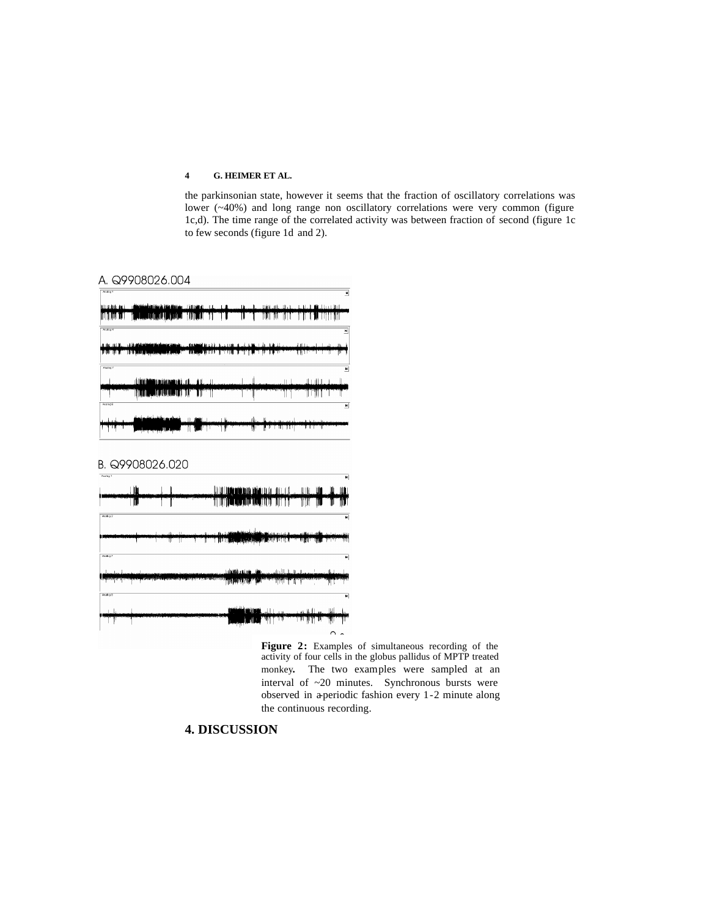# **4 G. HEIMER ET AL.**

the parkinsonian state, however it seems that the fraction of oscillatory correlations was lower (~40%) and long range non oscillatory correlations were very common (figure 1c,d). The time range of the correlated activity was between fraction of second (figure 1c to few seconds (figure 1d and 2).





# B. Q9908026.020



Figure 2: Examples of simultaneous recording of the activity of four cells in the globus pallidus of MPTP treated monkey**.** The two examples were sampled at an interval of ~20 minutes. Synchronous bursts were observed in a-periodic fashion every 1-2 minute along the continuous recording.

# **4. DISCUSSION**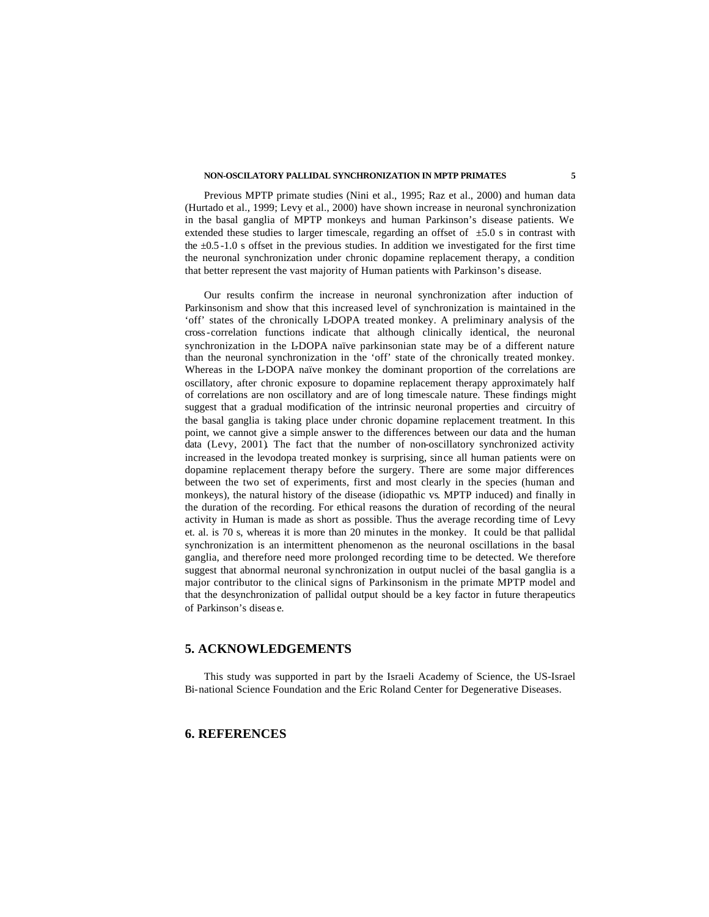#### **NON-OSCILATORY PALLIDAL SYNCHRONIZATION IN MPTP PRIMATES 5**

Previous MPTP primate studies (Nini et al., 1995; Raz et al., 2000) and human data (Hurtado et al., 1999; Levy et al., 2000) have shown increase in neuronal synchronization in the basal ganglia of MPTP monkeys and human Parkinson's disease patients. We extended these studies to larger timescale, regarding an offset of  $\pm$ 5.0 s in contrast with the  $\pm 0.5 - 1.0$  s offset in the previous studies. In addition we investigated for the first time the neuronal synchronization under chronic dopamine replacement therapy, a condition that better represent the vast majority of Human patients with Parkinson's disease.

Our results confirm the increase in neuronal synchronization after induction of Parkinsonism and show that this increased level of synchronization is maintained in the 'off' states of the chronically L-DOPA treated monkey. A preliminary analysis of the cross-correlation functions indicate that although clinically identical, the neuronal synchronization in the L-DOPA naïve parkinsonian state may be of a different nature than the neuronal synchronization in the 'off' state of the chronically treated monkey. Whereas in the L-DOPA naïve monkey the dominant proportion of the correlations are oscillatory, after chronic exposure to dopamine replacement therapy approximately half of correlations are non oscillatory and are of long timescale nature. These findings might suggest that a gradual modification of the intrinsic neuronal properties and circuitry of the basal ganglia is taking place under chronic dopamine replacement treatment. In this point, we cannot give a simple answer to the differences between our data and the human data (Levy, 2001). The fact that the number of non-oscillatory synchronized activity increased in the levodopa treated monkey is surprising, since all human patients were on dopamine replacement therapy before the surgery. There are some major differences between the two set of experiments, first and most clearly in the species (human and monkeys), the natural history of the disease (idiopathic vs. MPTP induced) and finally in the duration of the recording. For ethical reasons the duration of recording of the neural activity in Human is made as short as possible. Thus the average recording time of Levy et. al. is 70 s, whereas it is more than 20 minutes in the monkey. It could be that pallidal synchronization is an intermittent phenomenon as the neuronal oscillations in the basal ganglia, and therefore need more prolonged recording time to be detected. We therefore suggest that abnormal neuronal synchronization in output nuclei of the basal ganglia is a major contributor to the clinical signs of Parkinsonism in the primate MPTP model and that the desynchronization of pallidal output should be a key factor in future therapeutics of Parkinson's diseas e.

# **5. ACKNOWLEDGEMENTS**

This study was supported in part by the Israeli Academy of Science, the US-Israel Bi-national Science Foundation and the Eric Roland Center for Degenerative Diseases.

### **6. REFERENCES**